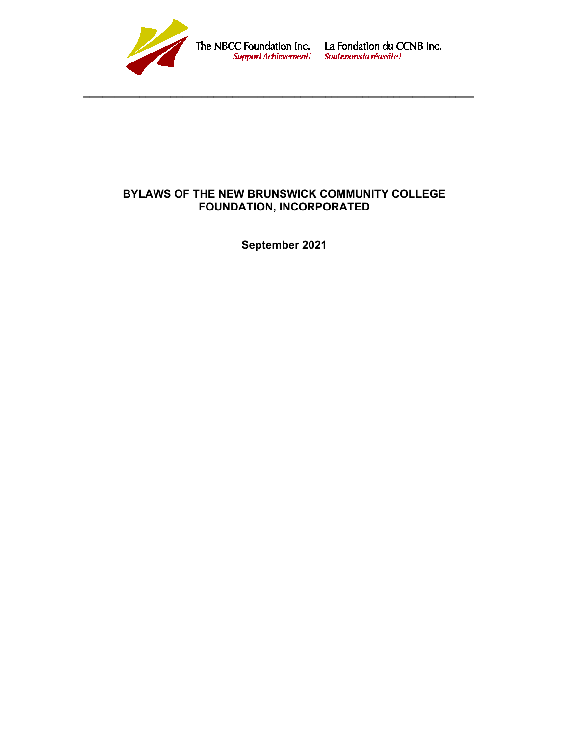

The NBCC Foundation Inc. La Fondation du CCNB Inc.<br>
support Achievement! Soutenons la réussite !

# **BYLAWS OF THE NEW BRUNSWICK COMMUNITY COLLEGE FOUNDATION, INCORPORATED**

**\_\_\_\_\_\_\_\_\_\_\_\_\_\_\_\_\_\_\_\_\_\_\_\_\_\_\_\_\_\_\_\_\_\_\_\_\_\_\_\_\_\_\_\_\_\_\_\_\_\_\_\_\_\_\_\_\_\_\_\_\_\_\_**

**September 2021**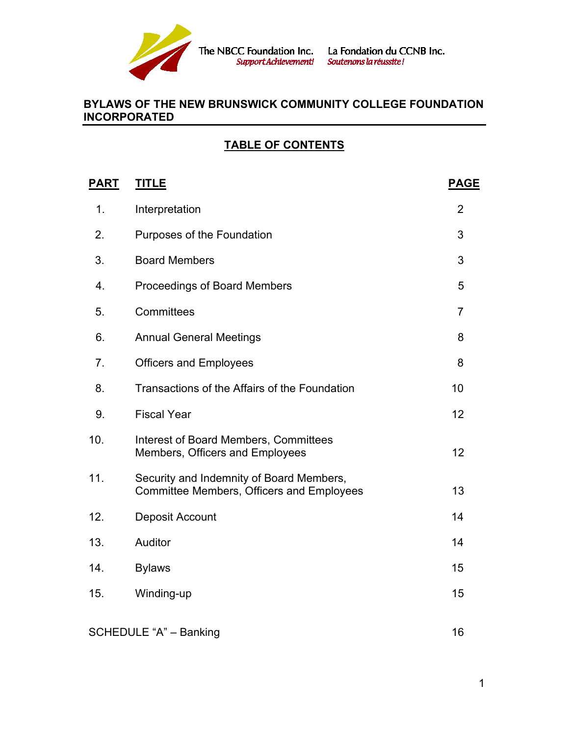

# **TABLE OF CONTENTS**

| <u>PART</u>            | <b>TITLE</b>                                                                                 | <b>PAGE</b>    |
|------------------------|----------------------------------------------------------------------------------------------|----------------|
| 1.                     | Interpretation                                                                               | $\overline{2}$ |
| 2.                     | Purposes of the Foundation                                                                   | 3              |
| 3.                     | <b>Board Members</b>                                                                         | 3              |
| 4.                     | <b>Proceedings of Board Members</b>                                                          | 5              |
| 5.                     | Committees                                                                                   | $\overline{7}$ |
| 6.                     | <b>Annual General Meetings</b>                                                               | 8              |
| 7 <sub>1</sub>         | <b>Officers and Employees</b>                                                                | 8              |
| 8.                     | Transactions of the Affairs of the Foundation                                                | 10             |
| 9.                     | <b>Fiscal Year</b>                                                                           | 12             |
| 10.                    | <b>Interest of Board Members, Committees</b><br>Members, Officers and Employees              | 12             |
| 11.                    | Security and Indemnity of Board Members,<br><b>Committee Members, Officers and Employees</b> | 13             |
| 12.                    | Deposit Account                                                                              | 14             |
| 13.                    | Auditor                                                                                      | 14             |
| 14.                    | <b>Bylaws</b>                                                                                | 15             |
| 15.                    | Winding-up                                                                                   | 15             |
| SCHEDULE "A" - Banking |                                                                                              | 16             |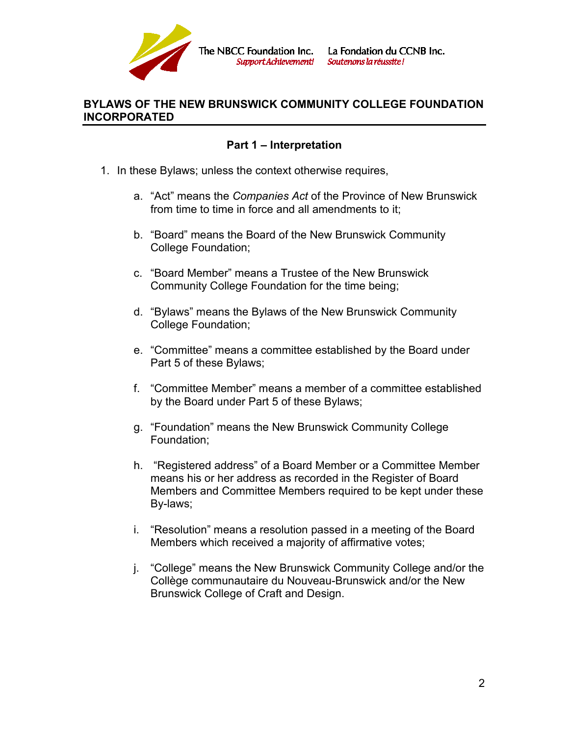

SupportAchievement!

#### **BYLAWS OF THE NEW BRUNSWICK COMMUNITY COLLEGE FOUNDATION INCORPORATED**

# **Part 1 – Interpretation**

- 1. In these Bylaws; unless the context otherwise requires,
	- a. "Act" means the *Companies Act* of the Province of New Brunswick from time to time in force and all amendments to it;
	- b. "Board" means the Board of the New Brunswick Community College Foundation;
	- c. "Board Member" means a Trustee of the New Brunswick Community College Foundation for the time being;
	- d. "Bylaws" means the Bylaws of the New Brunswick Community College Foundation;
	- e. "Committee" means a committee established by the Board under Part 5 of these Bylaws;
	- f. "Committee Member" means a member of a committee established by the Board under Part 5 of these Bylaws;
	- g. "Foundation" means the New Brunswick Community College Foundation;
	- h. "Registered address" of a Board Member or a Committee Member means his or her address as recorded in the Register of Board Members and Committee Members required to be kept under these By-laws;
	- i. "Resolution" means a resolution passed in a meeting of the Board Members which received a majority of affirmative votes;
	- j. "College" means the New Brunswick Community College and/or the Collège communautaire du Nouveau-Brunswick and/or the New Brunswick College of Craft and Design.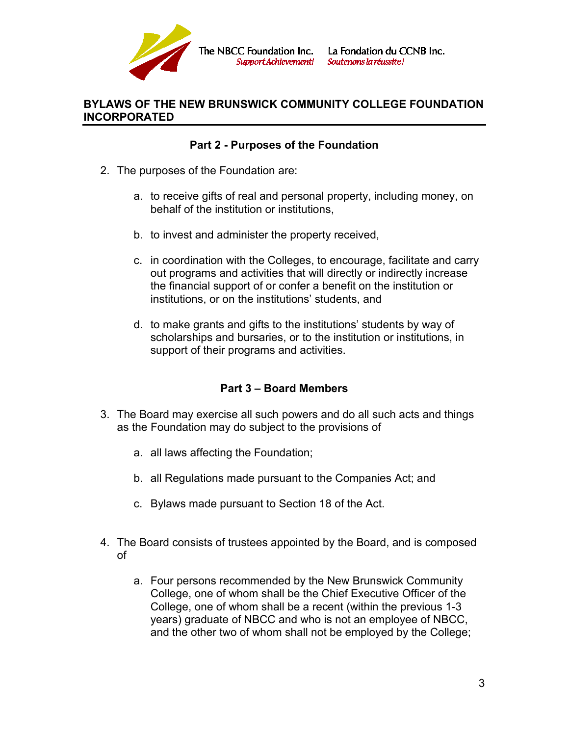

The NBCC Foundation Inc. SupportAchievement!

La Fondation du CCNB Inc. Soutenons la réussite!

## **BYLAWS OF THE NEW BRUNSWICK COMMUNITY COLLEGE FOUNDATION INCORPORATED**

# **Part 2 - Purposes of the Foundation**

- 2. The purposes of the Foundation are:
	- a. to receive gifts of real and personal property, including money, on behalf of the institution or institutions,
	- b. to invest and administer the property received,
	- c. in coordination with the Colleges, to encourage, facilitate and carry out programs and activities that will directly or indirectly increase the financial support of or confer a benefit on the institution or institutions, or on the institutions' students, and
	- d. to make grants and gifts to the institutions' students by way of scholarships and bursaries, or to the institution or institutions, in support of their programs and activities.

#### **Part 3 – Board Members**

- 3. The Board may exercise all such powers and do all such acts and things as the Foundation may do subject to the provisions of
	- a. all laws affecting the Foundation;
	- b. all Regulations made pursuant to the Companies Act; and
	- c. Bylaws made pursuant to Section 18 of the Act.
- 4. The Board consists of trustees appointed by the Board, and is composed of
	- a. Four persons recommended by the New Brunswick Community College, one of whom shall be the Chief Executive Officer of the College, one of whom shall be a recent (within the previous 1-3 years) graduate of NBCC and who is not an employee of NBCC, and the other two of whom shall not be employed by the College;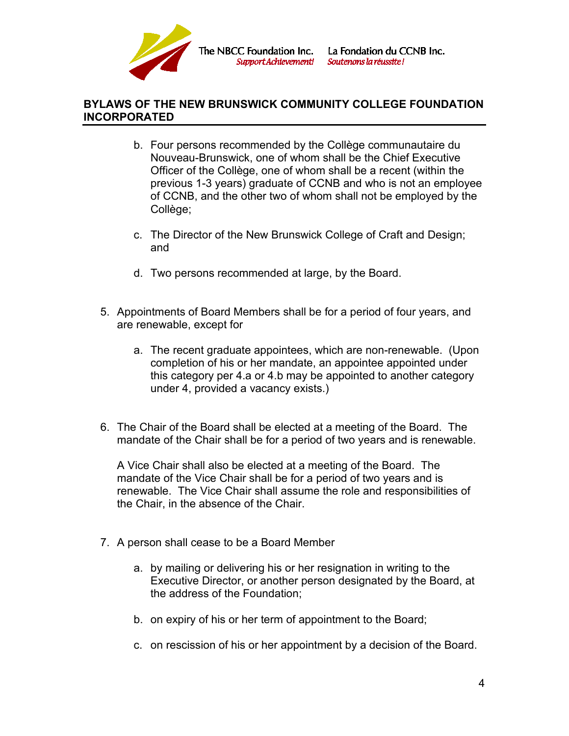

- b. Four persons recommended by the Collège communautaire du Nouveau-Brunswick, one of whom shall be the Chief Executive Officer of the Collège, one of whom shall be a recent (within the previous 1-3 years) graduate of CCNB and who is not an employee of CCNB, and the other two of whom shall not be employed by the Collège;
- c. The Director of the New Brunswick College of Craft and Design; and
- d. Two persons recommended at large, by the Board.
- 5. Appointments of Board Members shall be for a period of four years, and are renewable, except for
	- a. The recent graduate appointees, which are non-renewable. (Upon completion of his or her mandate, an appointee appointed under this category per 4.a or 4.b may be appointed to another category under 4, provided a vacancy exists.)
- 6. The Chair of the Board shall be elected at a meeting of the Board. The mandate of the Chair shall be for a period of two years and is renewable.

A Vice Chair shall also be elected at a meeting of the Board. The mandate of the Vice Chair shall be for a period of two years and is renewable. The Vice Chair shall assume the role and responsibilities of the Chair, in the absence of the Chair.

- 7. A person shall cease to be a Board Member
	- a. by mailing or delivering his or her resignation in writing to the Executive Director, or another person designated by the Board, at the address of the Foundation;
	- b. on expiry of his or her term of appointment to the Board;
	- c. on rescission of his or her appointment by a decision of the Board.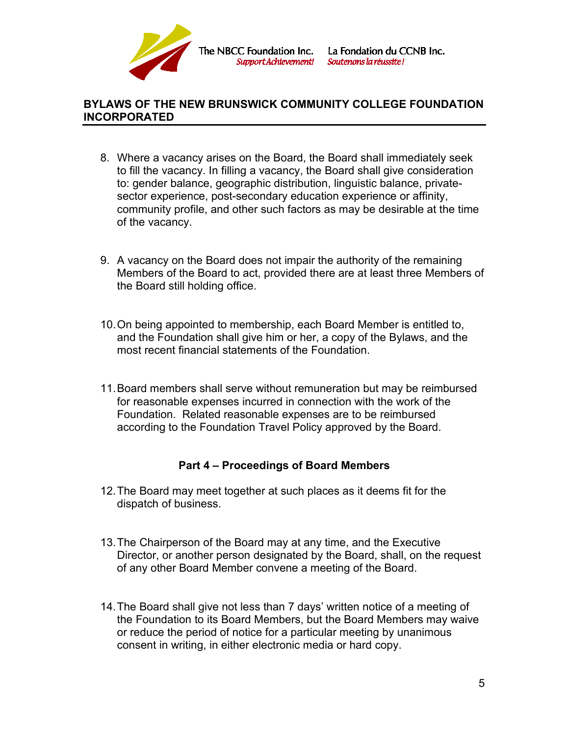

- 8. Where a vacancy arises on the Board, the Board shall immediately seek to fill the vacancy. In filling a vacancy, the Board shall give consideration to: gender balance, geographic distribution, linguistic balance, privatesector experience, post-secondary education experience or affinity, community profile, and other such factors as may be desirable at the time of the vacancy.
- 9. A vacancy on the Board does not impair the authority of the remaining Members of the Board to act, provided there are at least three Members of the Board still holding office.
- 10.On being appointed to membership, each Board Member is entitled to, and the Foundation shall give him or her, a copy of the Bylaws, and the most recent financial statements of the Foundation.
- 11.Board members shall serve without remuneration but may be reimbursed for reasonable expenses incurred in connection with the work of the Foundation. Related reasonable expenses are to be reimbursed according to the Foundation Travel Policy approved by the Board.

# **Part 4 – Proceedings of Board Members**

- 12.The Board may meet together at such places as it deems fit for the dispatch of business.
- 13.The Chairperson of the Board may at any time, and the Executive Director, or another person designated by the Board, shall, on the request of any other Board Member convene a meeting of the Board.
- 14.The Board shall give not less than 7 days' written notice of a meeting of the Foundation to its Board Members, but the Board Members may waive or reduce the period of notice for a particular meeting by unanimous consent in writing, in either electronic media or hard copy.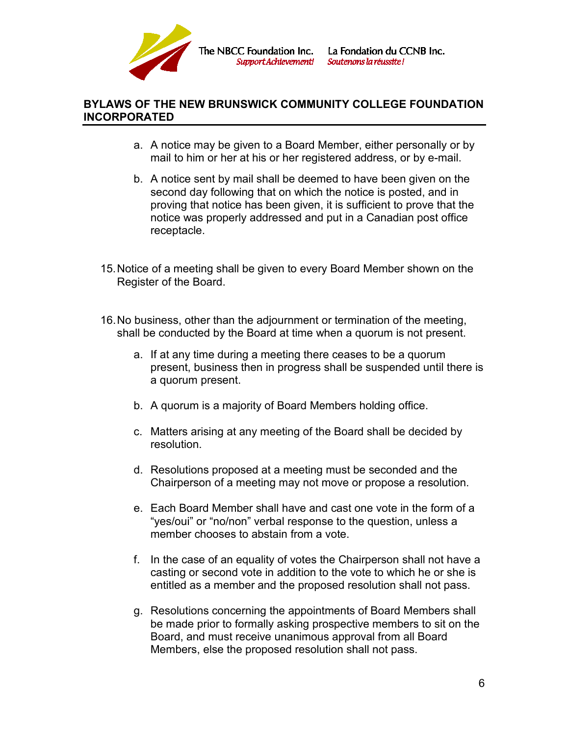

The NBCC Foundation Inc. Sunnort Achievementl

# **BYLAWS OF THE NEW BRUNSWICK COMMUNITY COLLEGE FOUNDATION INCORPORATED**

- a. A notice may be given to a Board Member, either personally or by mail to him or her at his or her registered address, or by e-mail.
- b. A notice sent by mail shall be deemed to have been given on the second day following that on which the notice is posted, and in proving that notice has been given, it is sufficient to prove that the notice was properly addressed and put in a Canadian post office receptacle.
- 15.Notice of a meeting shall be given to every Board Member shown on the Register of the Board.
- 16.No business, other than the adjournment or termination of the meeting, shall be conducted by the Board at time when a quorum is not present.
	- a. If at any time during a meeting there ceases to be a quorum present, business then in progress shall be suspended until there is a quorum present.
	- b. A quorum is a majority of Board Members holding office.
	- c. Matters arising at any meeting of the Board shall be decided by resolution.
	- d. Resolutions proposed at a meeting must be seconded and the Chairperson of a meeting may not move or propose a resolution.
	- e. Each Board Member shall have and cast one vote in the form of a "yes/oui" or "no/non" verbal response to the question, unless a member chooses to abstain from a vote.
	- f. In the case of an equality of votes the Chairperson shall not have a casting or second vote in addition to the vote to which he or she is entitled as a member and the proposed resolution shall not pass.
	- g. Resolutions concerning the appointments of Board Members shall be made prior to formally asking prospective members to sit on the Board, and must receive unanimous approval from all Board Members, else the proposed resolution shall not pass.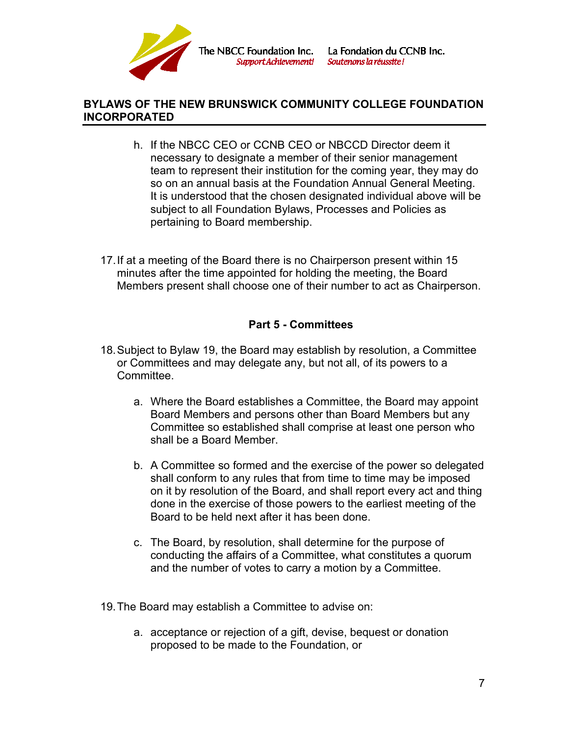

- h. If the NBCC CEO or CCNB CEO or NBCCD Director deem it necessary to designate a member of their senior management team to represent their institution for the coming year, they may do so on an annual basis at the Foundation Annual General Meeting. It is understood that the chosen designated individual above will be subject to all Foundation Bylaws, Processes and Policies as pertaining to Board membership.
- 17.If at a meeting of the Board there is no Chairperson present within 15 minutes after the time appointed for holding the meeting, the Board Members present shall choose one of their number to act as Chairperson.

# **Part 5 - Committees**

- 18.Subject to Bylaw 19, the Board may establish by resolution, a Committee or Committees and may delegate any, but not all, of its powers to a Committee.
	- a. Where the Board establishes a Committee, the Board may appoint Board Members and persons other than Board Members but any Committee so established shall comprise at least one person who shall be a Board Member.
	- b. A Committee so formed and the exercise of the power so delegated shall conform to any rules that from time to time may be imposed on it by resolution of the Board, and shall report every act and thing done in the exercise of those powers to the earliest meeting of the Board to be held next after it has been done.
	- c. The Board, by resolution, shall determine for the purpose of conducting the affairs of a Committee, what constitutes a quorum and the number of votes to carry a motion by a Committee.
- 19.The Board may establish a Committee to advise on:
	- a. acceptance or rejection of a gift, devise, bequest or donation proposed to be made to the Foundation, or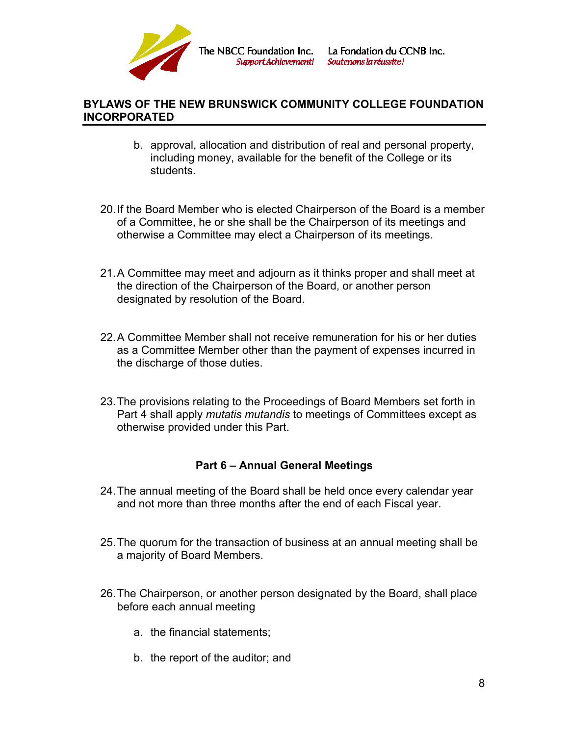

- b. approval, allocation and distribution of real and personal property, including money, available for the benefit of the College or its students.
- 20.If the Board Member who is elected Chairperson of the Board is a member of a Committee, he or she shall be the Chairperson of its meetings and otherwise a Committee may elect a Chairperson of its meetings.
- 21.A Committee may meet and adjourn as it thinks proper and shall meet at the direction of the Chairperson of the Board, or another person designated by resolution of the Board.
- 22.A Committee Member shall not receive remuneration for his or her duties as a Committee Member other than the payment of expenses incurred in the discharge of those duties.
- 23.The provisions relating to the Proceedings of Board Members set forth in Part 4 shall apply *mutatis mutandis* to meetings of Committees except as otherwise provided under this Part.

# **Part 6 – Annual General Meetings**

- 24.The annual meeting of the Board shall be held once every calendar year and not more than three months after the end of each Fiscal year.
- 25.The quorum for the transaction of business at an annual meeting shall be a majority of Board Members.
- 26.The Chairperson, or another person designated by the Board, shall place before each annual meeting
	- a. the financial statements;
	- b. the report of the auditor; and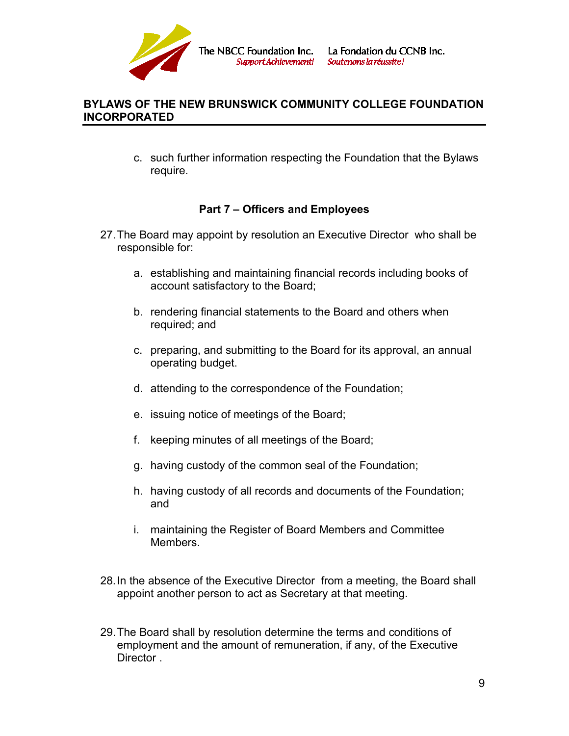

c. such further information respecting the Foundation that the Bylaws require.

# **Part 7 – Officers and Employees**

- 27.The Board may appoint by resolution an Executive Director who shall be responsible for:
	- a. establishing and maintaining financial records including books of account satisfactory to the Board;
	- b. rendering financial statements to the Board and others when required; and
	- c. preparing, and submitting to the Board for its approval, an annual operating budget.
	- d. attending to the correspondence of the Foundation;
	- e. issuing notice of meetings of the Board;
	- f. keeping minutes of all meetings of the Board;
	- g. having custody of the common seal of the Foundation;
	- h. having custody of all records and documents of the Foundation; and
	- i. maintaining the Register of Board Members and Committee Members.
- 28.In the absence of the Executive Director from a meeting, the Board shall appoint another person to act as Secretary at that meeting.
- 29.The Board shall by resolution determine the terms and conditions of employment and the amount of remuneration, if any, of the Executive Director .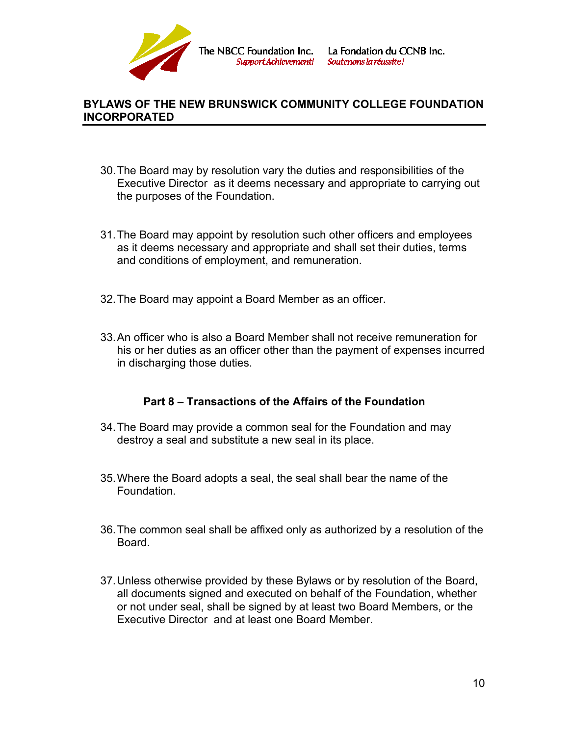

- 30.The Board may by resolution vary the duties and responsibilities of the Executive Director as it deems necessary and appropriate to carrying out the purposes of the Foundation.
- 31.The Board may appoint by resolution such other officers and employees as it deems necessary and appropriate and shall set their duties, terms and conditions of employment, and remuneration.
- 32.The Board may appoint a Board Member as an officer.
- 33.An officer who is also a Board Member shall not receive remuneration for his or her duties as an officer other than the payment of expenses incurred in discharging those duties.

#### **Part 8 – Transactions of the Affairs of the Foundation**

- 34.The Board may provide a common seal for the Foundation and may destroy a seal and substitute a new seal in its place.
- 35.Where the Board adopts a seal, the seal shall bear the name of the Foundation.
- 36.The common seal shall be affixed only as authorized by a resolution of the Board.
- 37.Unless otherwise provided by these Bylaws or by resolution of the Board, all documents signed and executed on behalf of the Foundation, whether or not under seal, shall be signed by at least two Board Members, or the Executive Director and at least one Board Member.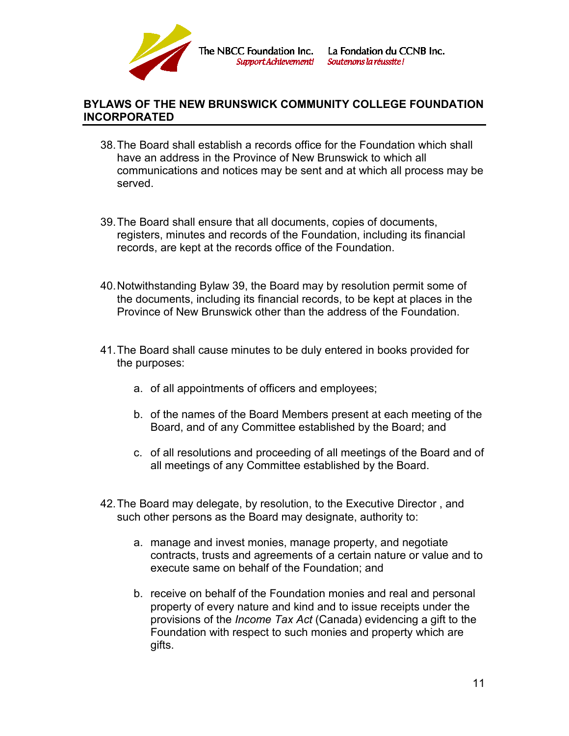

- 38.The Board shall establish a records office for the Foundation which shall have an address in the Province of New Brunswick to which all communications and notices may be sent and at which all process may be served.
- 39.The Board shall ensure that all documents, copies of documents, registers, minutes and records of the Foundation, including its financial records, are kept at the records office of the Foundation.
- 40.Notwithstanding Bylaw 39, the Board may by resolution permit some of the documents, including its financial records, to be kept at places in the Province of New Brunswick other than the address of the Foundation.
- 41.The Board shall cause minutes to be duly entered in books provided for the purposes:
	- a. of all appointments of officers and employees;
	- b. of the names of the Board Members present at each meeting of the Board, and of any Committee established by the Board; and
	- c. of all resolutions and proceeding of all meetings of the Board and of all meetings of any Committee established by the Board.
- 42.The Board may delegate, by resolution, to the Executive Director , and such other persons as the Board may designate, authority to:
	- a. manage and invest monies, manage property, and negotiate contracts, trusts and agreements of a certain nature or value and to execute same on behalf of the Foundation; and
	- b. receive on behalf of the Foundation monies and real and personal property of every nature and kind and to issue receipts under the provisions of the *Income Tax Act* (Canada) evidencing a gift to the Foundation with respect to such monies and property which are gifts.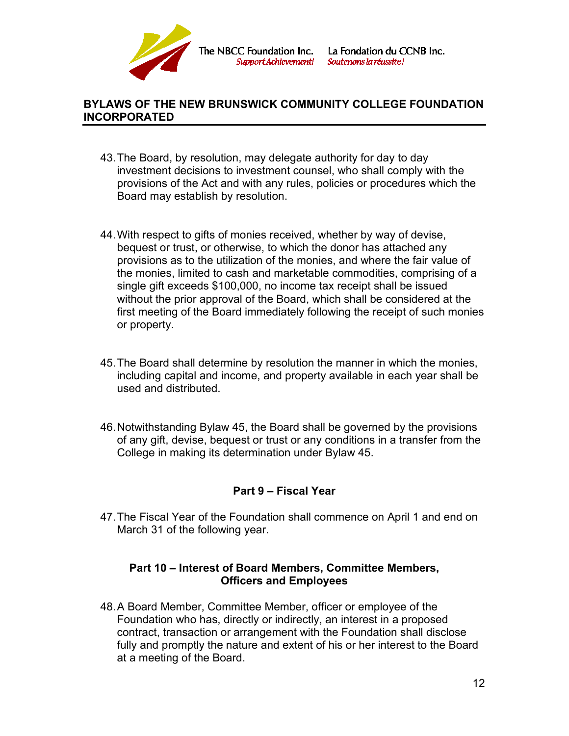

- 43.The Board, by resolution, may delegate authority for day to day investment decisions to investment counsel, who shall comply with the provisions of the Act and with any rules, policies or procedures which the Board may establish by resolution.
- 44.With respect to gifts of monies received, whether by way of devise, bequest or trust, or otherwise, to which the donor has attached any provisions as to the utilization of the monies, and where the fair value of the monies, limited to cash and marketable commodities, comprising of a single gift exceeds \$100,000, no income tax receipt shall be issued without the prior approval of the Board, which shall be considered at the first meeting of the Board immediately following the receipt of such monies or property.
- 45.The Board shall determine by resolution the manner in which the monies, including capital and income, and property available in each year shall be used and distributed.
- 46.Notwithstanding Bylaw 45, the Board shall be governed by the provisions of any gift, devise, bequest or trust or any conditions in a transfer from the College in making its determination under Bylaw 45.

# **Part 9 – Fiscal Year**

47.The Fiscal Year of the Foundation shall commence on April 1 and end on March 31 of the following year.

#### **Part 10 – Interest of Board Members, Committee Members, Officers and Employees**

48.A Board Member, Committee Member, officer or employee of the Foundation who has, directly or indirectly, an interest in a proposed contract, transaction or arrangement with the Foundation shall disclose fully and promptly the nature and extent of his or her interest to the Board at a meeting of the Board.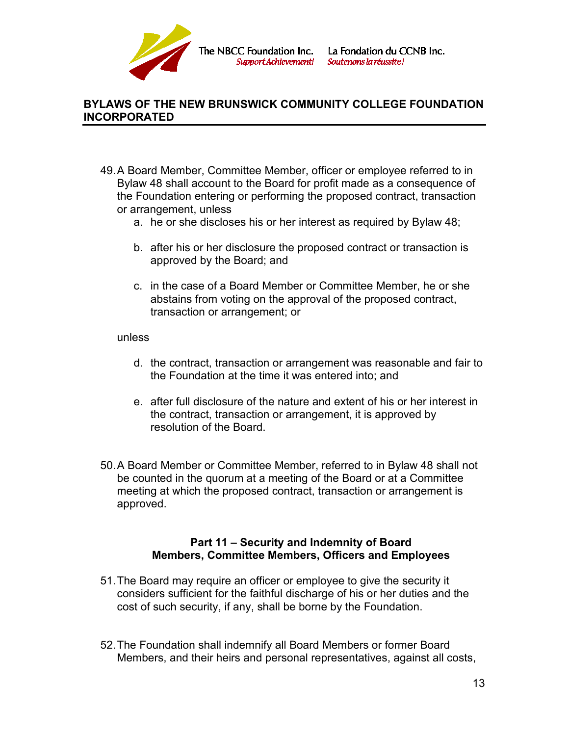

- 49.A Board Member, Committee Member, officer or employee referred to in Bylaw 48 shall account to the Board for profit made as a consequence of the Foundation entering or performing the proposed contract, transaction or arrangement, unless
	- a. he or she discloses his or her interest as required by Bylaw 48;
	- b. after his or her disclosure the proposed contract or transaction is approved by the Board; and
	- c. in the case of a Board Member or Committee Member, he or she abstains from voting on the approval of the proposed contract, transaction or arrangement; or

#### unless

- d. the contract, transaction or arrangement was reasonable and fair to the Foundation at the time it was entered into; and
- e. after full disclosure of the nature and extent of his or her interest in the contract, transaction or arrangement, it is approved by resolution of the Board.
- 50.A Board Member or Committee Member, referred to in Bylaw 48 shall not be counted in the quorum at a meeting of the Board or at a Committee meeting at which the proposed contract, transaction or arrangement is approved.

#### **Part 11 – Security and Indemnity of Board Members, Committee Members, Officers and Employees**

- 51.The Board may require an officer or employee to give the security it considers sufficient for the faithful discharge of his or her duties and the cost of such security, if any, shall be borne by the Foundation.
- 52.The Foundation shall indemnify all Board Members or former Board Members, and their heirs and personal representatives, against all costs,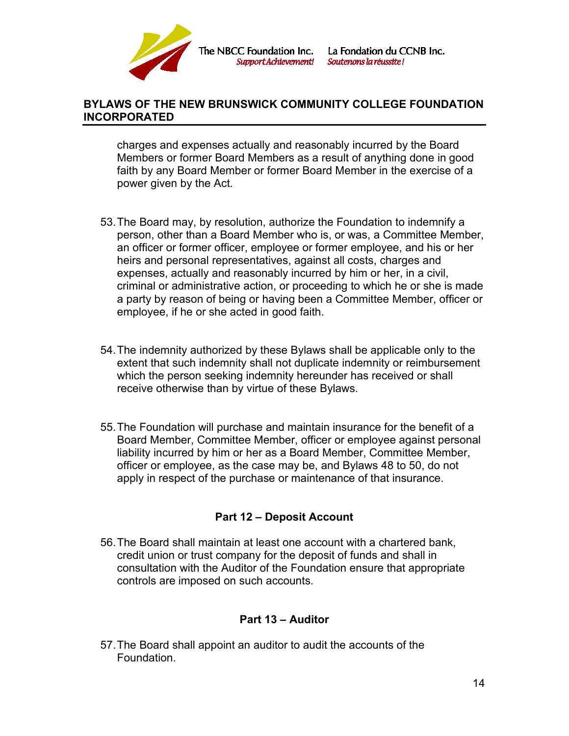

charges and expenses actually and reasonably incurred by the Board Members or former Board Members as a result of anything done in good faith by any Board Member or former Board Member in the exercise of a power given by the Act.

- 53.The Board may, by resolution, authorize the Foundation to indemnify a person, other than a Board Member who is, or was, a Committee Member, an officer or former officer, employee or former employee, and his or her heirs and personal representatives, against all costs, charges and expenses, actually and reasonably incurred by him or her, in a civil, criminal or administrative action, or proceeding to which he or she is made a party by reason of being or having been a Committee Member, officer or employee, if he or she acted in good faith.
- 54.The indemnity authorized by these Bylaws shall be applicable only to the extent that such indemnity shall not duplicate indemnity or reimbursement which the person seeking indemnity hereunder has received or shall receive otherwise than by virtue of these Bylaws.
- 55.The Foundation will purchase and maintain insurance for the benefit of a Board Member, Committee Member, officer or employee against personal liability incurred by him or her as a Board Member, Committee Member, officer or employee, as the case may be, and Bylaws 48 to 50, do not apply in respect of the purchase or maintenance of that insurance.

# **Part 12 – Deposit Account**

56.The Board shall maintain at least one account with a chartered bank, credit union or trust company for the deposit of funds and shall in consultation with the Auditor of the Foundation ensure that appropriate controls are imposed on such accounts.

#### **Part 13 – Auditor**

57.The Board shall appoint an auditor to audit the accounts of the Foundation.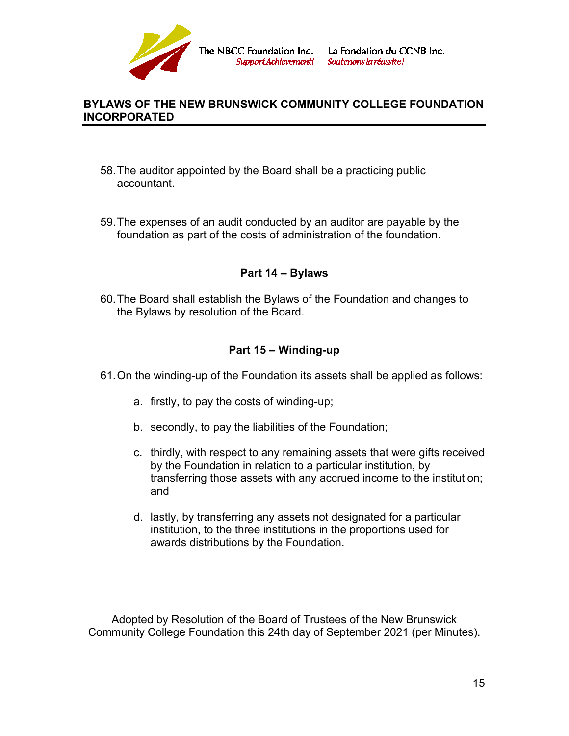

- 58.The auditor appointed by the Board shall be a practicing public accountant.
- 59.The expenses of an audit conducted by an auditor are payable by the foundation as part of the costs of administration of the foundation.

## **Part 14 – Bylaws**

60.The Board shall establish the Bylaws of the Foundation and changes to the Bylaws by resolution of the Board.

# **Part 15 – Winding-up**

- 61.On the winding-up of the Foundation its assets shall be applied as follows:
	- a. firstly, to pay the costs of winding-up;
	- b. secondly, to pay the liabilities of the Foundation;
	- c. thirdly, with respect to any remaining assets that were gifts received by the Foundation in relation to a particular institution, by transferring those assets with any accrued income to the institution; and
	- d. lastly, by transferring any assets not designated for a particular institution, to the three institutions in the proportions used for awards distributions by the Foundation.

Adopted by Resolution of the Board of Trustees of the New Brunswick Community College Foundation this 24th day of September 2021 (per Minutes).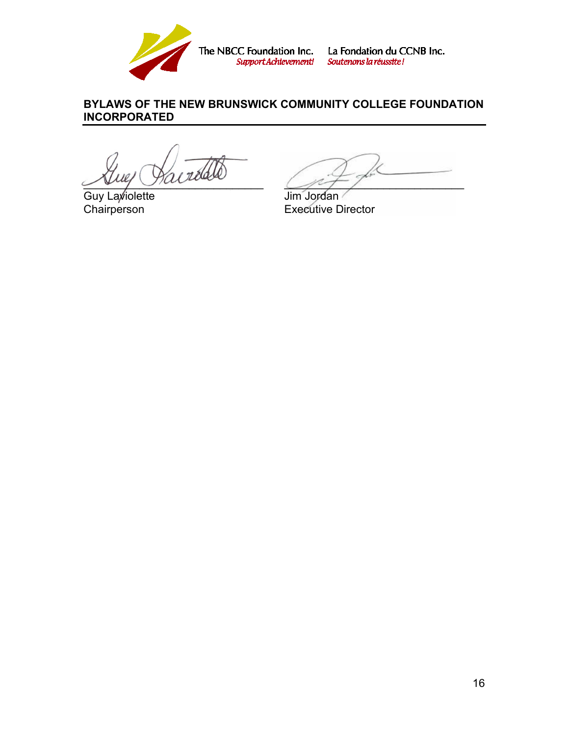

The NBCC Foundation Inc. La Fondation du CCNB Inc.<br>Support Achievement! Soutenons la réussite!

# **BYLAWS OF THE NEW BRUNSWICK COMMUNITY COLLEGE FOUNDATION INCORPORATED**

Guy Laviolette Jim Jordan<br>Chairperson Executive L

 $\mathscr{P}$ 

**Executive Director**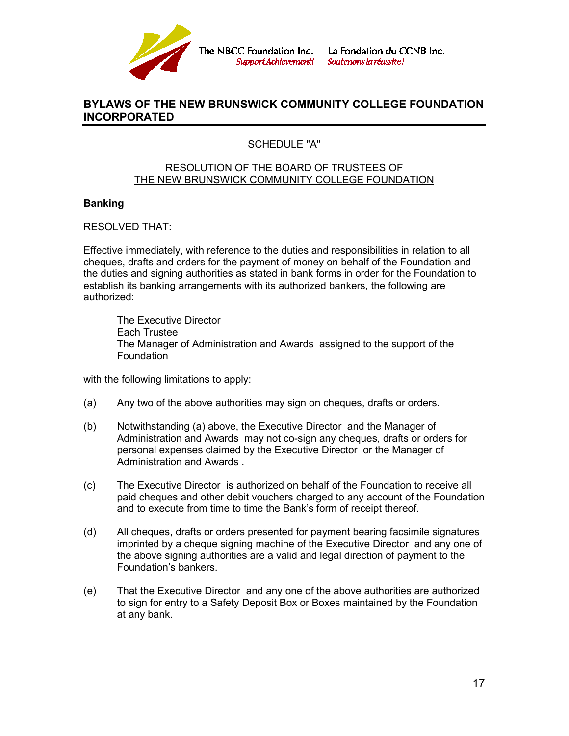

The NBCC Foundation Inc. **Support Achievement!**  La Fondation du CCNB Inc. Soutenons la réussite!

#### **BYLAWS OF THE NEW BRUNSWICK COMMUNITY COLLEGE FOUNDATION INCORPORATED**

## SCHEDULE "A"

#### RESOLUTION OF THE BOARD OF TRUSTEES OF THE NEW BRUNSWICK COMMUNITY COLLEGE FOUNDATION

#### **Banking**

RESOLVED THAT:

Effective immediately, with reference to the duties and responsibilities in relation to all cheques, drafts and orders for the payment of money on behalf of the Foundation and the duties and signing authorities as stated in bank forms in order for the Foundation to establish its banking arrangements with its authorized bankers, the following are authorized:

The Executive Director Each Trustee The Manager of Administration and Awards assigned to the support of the **Foundation** 

with the following limitations to apply:

- (a) Any two of the above authorities may sign on cheques, drafts or orders.
- (b) Notwithstanding (a) above, the Executive Director and the Manager of Administration and Awards may not co-sign any cheques, drafts or orders for personal expenses claimed by the Executive Director or the Manager of Administration and Awards .
- (c) The Executive Director is authorized on behalf of the Foundation to receive all paid cheques and other debit vouchers charged to any account of the Foundation and to execute from time to time the Bank's form of receipt thereof.
- (d) All cheques, drafts or orders presented for payment bearing facsimile signatures imprinted by a cheque signing machine of the Executive Director and any one of the above signing authorities are a valid and legal direction of payment to the Foundation's bankers.
- (e) That the Executive Director and any one of the above authorities are authorized to sign for entry to a Safety Deposit Box or Boxes maintained by the Foundation at any bank.